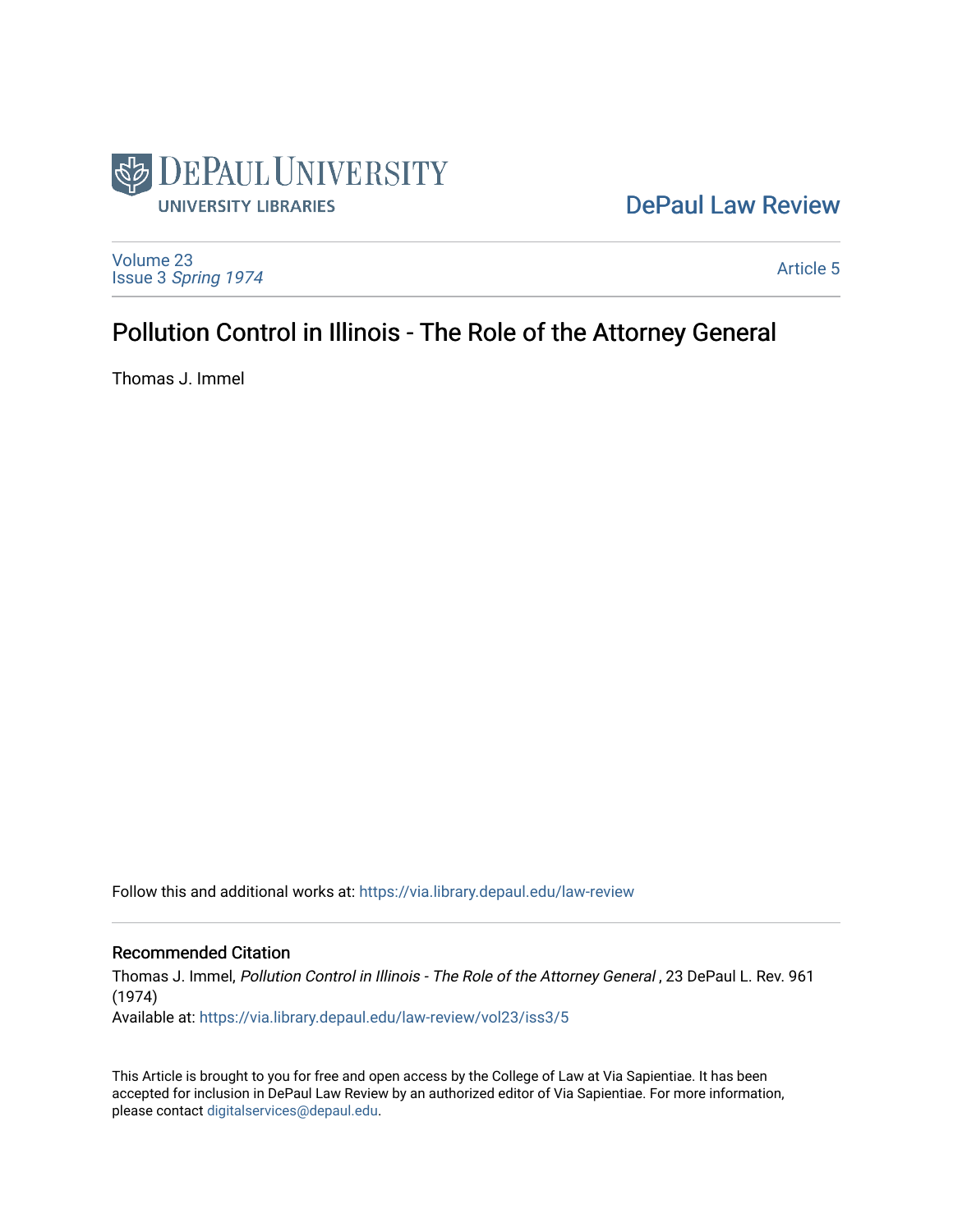

## [DePaul Law Review](https://via.library.depaul.edu/law-review)

[Volume 23](https://via.library.depaul.edu/law-review/vol23) Issue 3 [Spring 1974](https://via.library.depaul.edu/law-review/vol23/iss3) 

[Article 5](https://via.library.depaul.edu/law-review/vol23/iss3/5) 

# Pollution Control in Illinois - The Role of the Attorney General

Thomas J. Immel

Follow this and additional works at: [https://via.library.depaul.edu/law-review](https://via.library.depaul.edu/law-review?utm_source=via.library.depaul.edu%2Flaw-review%2Fvol23%2Fiss3%2F5&utm_medium=PDF&utm_campaign=PDFCoverPages) 

## Recommended Citation

Thomas J. Immel, Pollution Control in Illinois - The Role of the Attorney General , 23 DePaul L. Rev. 961 (1974)

Available at: [https://via.library.depaul.edu/law-review/vol23/iss3/5](https://via.library.depaul.edu/law-review/vol23/iss3/5?utm_source=via.library.depaul.edu%2Flaw-review%2Fvol23%2Fiss3%2F5&utm_medium=PDF&utm_campaign=PDFCoverPages) 

This Article is brought to you for free and open access by the College of Law at Via Sapientiae. It has been accepted for inclusion in DePaul Law Review by an authorized editor of Via Sapientiae. For more information, please contact [digitalservices@depaul.edu.](mailto:digitalservices@depaul.edu)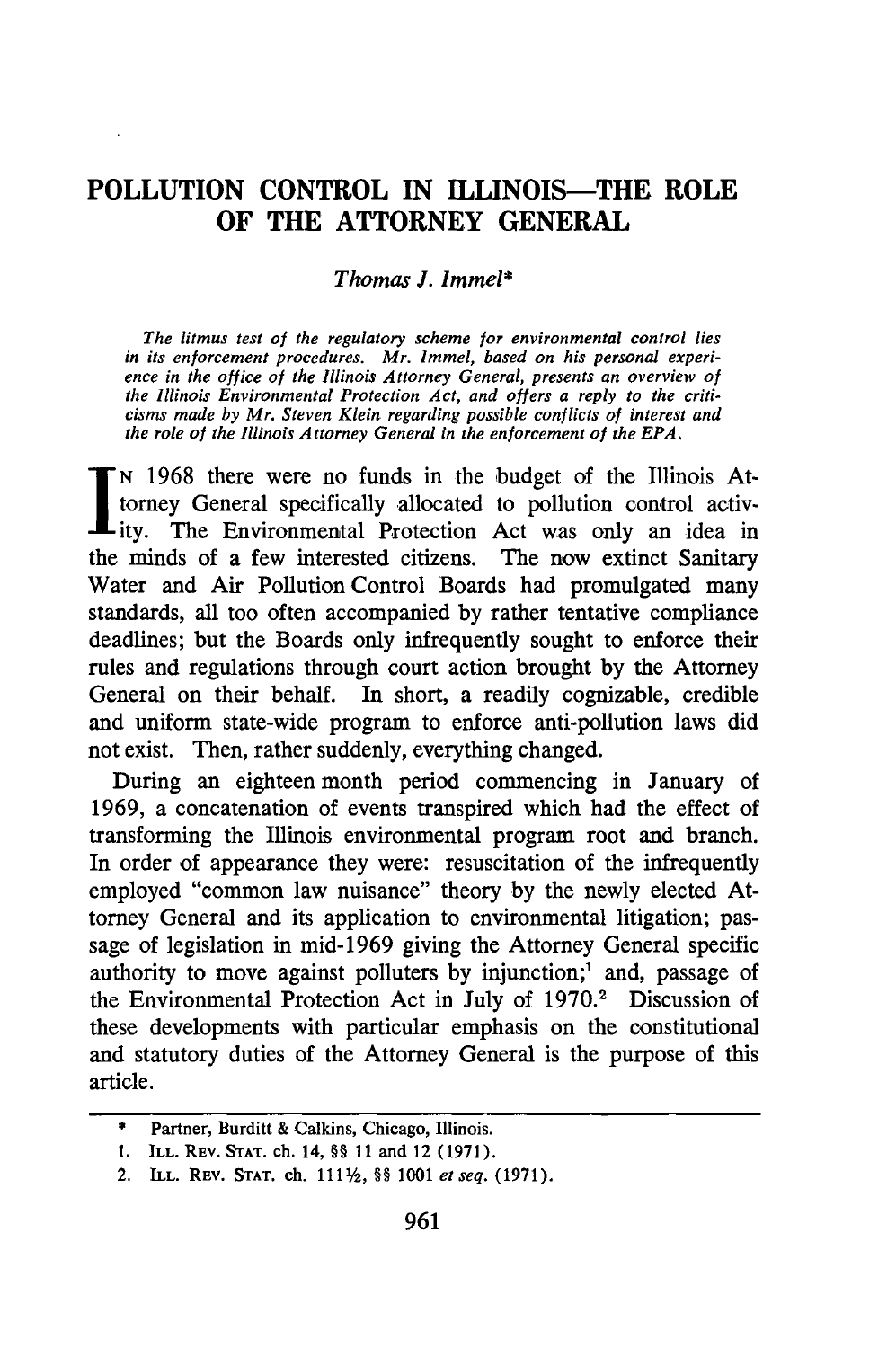## **POLLUTION CONTROL IN ILLINOIS-THE ROLE OF THE ATTORNEY GENERAL**

#### *Thomas J. Immel\**

*The litmus test of the regulatory scheme for environmental control lies in its enforcement procedures. Mr. Immel, based on his personal experience in the office of the Illinois Attorney General, presents an overview of the Illinois Environmental Protection Act, and offers a reply to the criticisms made by Mr. Steven Klein regarding possible conflicts of interest and the role of the Illinois Attorney General in the enforcement of the EPA.*

**N** 1968 there were no funds in the budget of the Illinois Attorney General specifically allocated to pollution control activ-Lity. The Environmental Protection Act was only an idea in the minds of a few interested citizens. The now extinct Sanitary Water and Air Pollution Control Boards had promulgated many standards, all too often accompanied by rather tentative compliance deadlines; but the Boards only infrequently sought to enforce their rules and regulations through court action brought by the Attorney General on their behalf. In short, a readily cognizable, credible and uniform state-wide program to enforce anti-pollution laws did not exist. Then, rather suddenly, everything changed.

During an eighteen month period commencing in January of 1969, a concatenation of events transpired which had the effect of transforming the Illinois environmental program root and branch. In order of appearance they were: resuscitation of the infrequently employed "common law nuisance" theory by the newly elected Attorney General and its application to environmental litigation; passage of legislation in mid-1969 giving the Attorney General specific authority to move against polluters by injunction;<sup>1</sup> and, passage of the Environmental Protection Act in July of 1970.<sup>2</sup> Discussion of these developments with particular emphasis on the constitutional and statutory duties of the Attorney General is the purpose of this article.

**<sup>\*</sup>** Partner, Burditt & Calkins, Chicago, Illinois.

<sup>1.</sup> ILL. REV. **STAT.** ch. 14, §§ 11 and 12 (1971).

<sup>2.</sup> ILL. REV. STAT. ch. 1111/2, §§ 1001 *et seq.* (1971).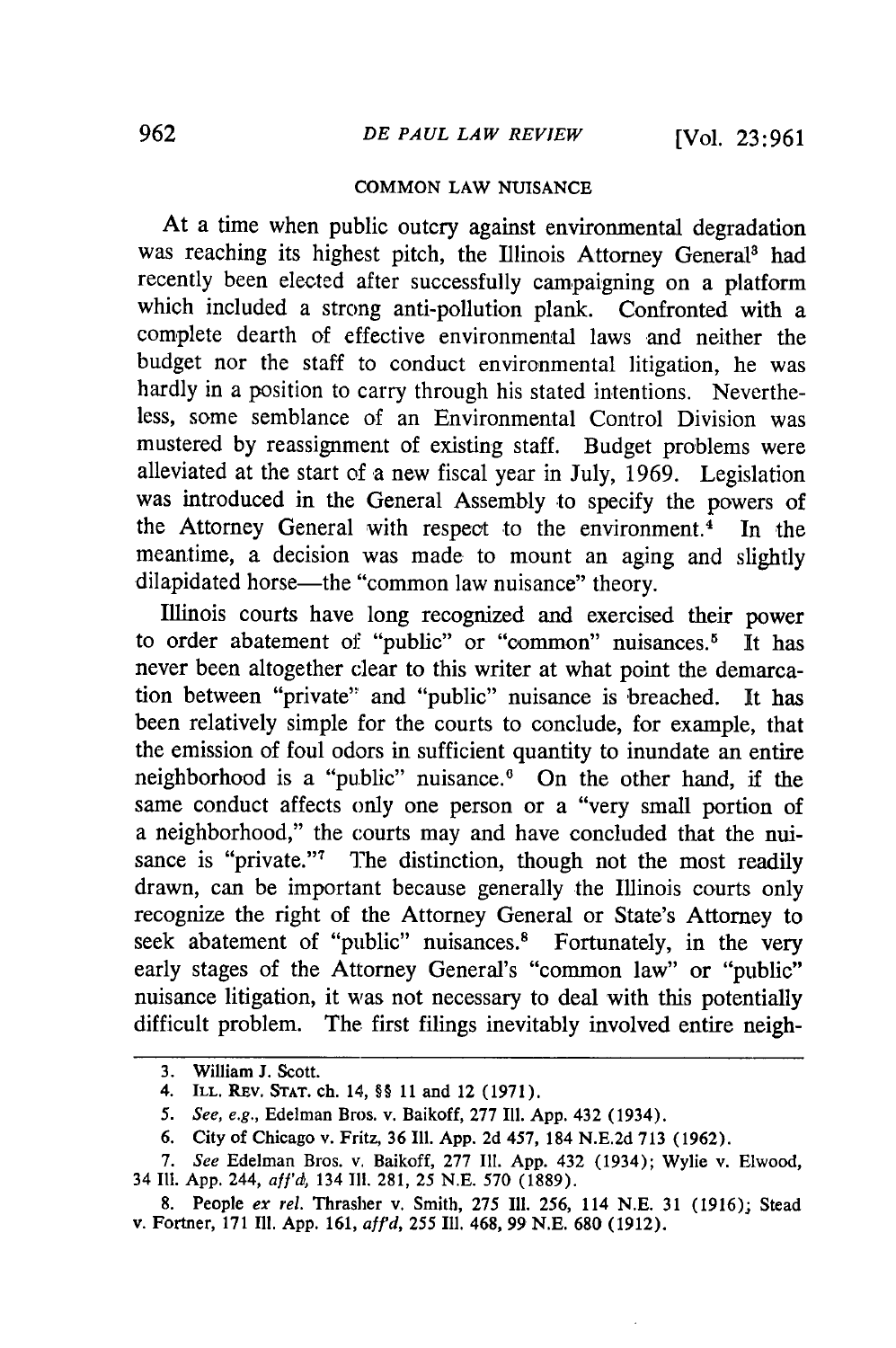#### **COMMON LAW NUISANCE**

At a time when public outcry against environmental degradation was reaching its highest pitch, the Illinois Attorney General<sup>3</sup> had recently been elected after successfully campaigning on a platform which included a strong anti-pollution plank. Confronted with a complete dearth of effective environmental laws and neither the budget nor the staff to conduct environmental litigation, he was hardly in a position to carry through his stated intentions. Nevertheless, some semblance of an Environmental Control Division was mustered by reassignment of existing staff. Budget problems were alleviated at the start of a new fiscal year in July, 1969. Legislation was introduced in the General Assembly to specify the powers of the Attorney General with respect to the environment.<sup>4</sup> In the meantime, a decision was made to mount an aging and slightly dilapidated horse—the "common law nuisance" theory.

Illinois courts have long recognized and exercised their power to order abatement of "public" or "common" nuisances.<sup>5</sup> It has never been altogether clear to this writer at what point the demarcation between "private"' and "public" nuisance is breached. It has been relatively simple for the courts to conclude, for example, that the emission of foul odors in sufficient quantity to inundate an entire neighborhood is a "public" nuisance.<sup>6</sup> On the other hand, if the same conduct affects only one person or a "very small portion of a neighborhood," the courts may and have concluded that the nuisance is "private."<sup>7</sup> The distinction, though not the most readily drawn, can be important because generally the Illinois courts only recognize the right of the Attorney General or State's Attorney to seek abatement of "public" nuisances.<sup>8</sup> Fortunately, in the very early stages of the Attorney General's "common law" or "public" nuisance litigation, it was not necessary to deal with this potentially difficult problem. The first filings inevitably involved entire neigh-

**<sup>3.</sup>** William **J.** Scott.

<sup>4.</sup> ILL. **REV. STAT.** ch. 14, §§ **11** and 12 **(1971).**

<sup>5.</sup> See, e.g., Edelman Bros. v. Baikoff, **277** Ill. **App.** 432 (1934).

**<sup>6.</sup>** City of Chicago v. Fritz, **36 Ill. App. 2d** 457, 184 **N.E.2d 713 (1962).**

**<sup>7.</sup>** *See* Edelman Bros. v. Baikoff, 277 **I11.** App. 432 (1934); Wylie v. Elwood, 34 **I11. App.** 244, *aa'd,* 134 **I11. 281, 25 N.E. 570 (1889).**

<sup>8.</sup> People ex rel. Thrasher v. Smith, 275 Ill. 256, 114 N.E. 31 (1916); Stead v. Fortner, 171 Ill. App. 161, aff'd, 255 Ill. 468, 99 N.E. 680 (1912).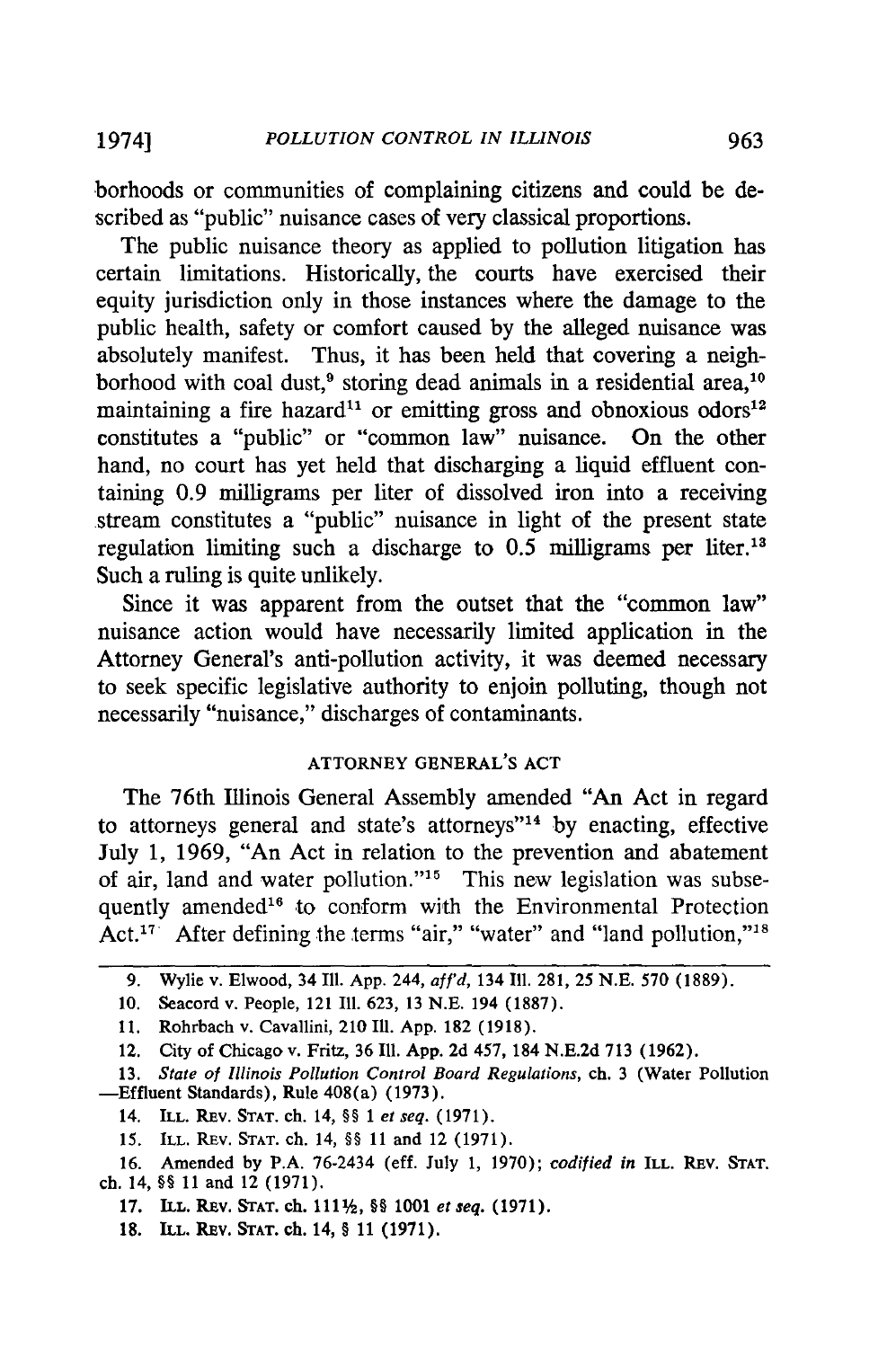borhoods or communities of complaining citizens and could be described as "public" nuisance cases of very classical proportions.

The public nuisance theory as applied to pollution litigation has certain limitations. Historically, the courts have exercised their equity jurisdiction only in those instances where the damage to the public health, safety or comfort caused by the alleged nuisance was absolutely manifest. Thus, it has been held that covering a neighborhood with coal dust,<sup>9</sup> storing dead animals in a residential area,<sup>10</sup> maintaining a fire hazard<sup>11</sup> or emitting gross and obnoxious odors<sup>12</sup> constitutes a "public" or "common law" nuisance. On the other hand, no court has yet held that discharging a liquid effluent containing 0.9 milligrams per liter of dissolved iron into a receiving stream constitutes a "public" nuisance in light of the present state regulation limiting such a discharge to 0.5 milligrams per liter.'<sup>8</sup> Such a ruling is quite unlikely.

Since it was apparent from the outset that the "common law" nuisance action would have necessarily limited application in the Attorney General's anti-pollution activity, it was deemed necessary to seek specific legislative authority to enjoin polluting, though not necessarily "nuisance," discharges of contaminants.

### ATTORNEY **GENERAL'S ACT**

The 76th Illinois General Assembly amended "An Act in regard to attorneys general and state's attorneys"<sup>14</sup> by enacting, effective July 1, 1969, "An Act in relation to the prevention and abatement of air, land and water pollution."<sup>15</sup> This new legislation was subsequently amended<sup>16</sup> to conform with the Environmental Protection Act.<sup>17</sup> After defining the terms "air," "water" and "land pollution,"<sup>18</sup>

<sup>9.</sup> Wylie v. Elwood, 34 Ill. App. 244, aff'd, 134 Ill. 281, 25 N.E. 570 **(1889).**

<sup>10.</sup> Seacord v. People, 121 Ill. 623, 13 N.E. 194 (1887).

<sup>11.</sup> Rohrbach v. Cavallini, 210 **Ill.** App. 182 (1918).

<sup>12.</sup> City of Chicago v. Fritz, 36 **111.** App. 2d 457, 184 N.E.2d 713 (1962).

**<sup>13.</sup>** *State of Illinois Pollution Control Board* Regulations, ch. 3 (Water Pollution -Effluent Standards), Rule 408(a) (1973).

<sup>14.</sup> ILL. REV. STAT. ch. 14, §§ 1 *et seq.* (1971).

**<sup>15.</sup>** ILL. REV. **STAT.** ch. 14, §§ 11 and 12 (1971).

<sup>16.</sup> Amended by P.A. 76-2434 (eff. July 1, 1970); *codified in* ILL. REV. **STAT.** ch. 14, §§ 11 and 12 (1971).

**<sup>17.</sup> ILL. REV. STAT. ch.** 111 , *§* **1001** et seq. **(1971).**

**<sup>18.</sup> ILL. REv. STAT. ch.** 14, § **11 (1971).**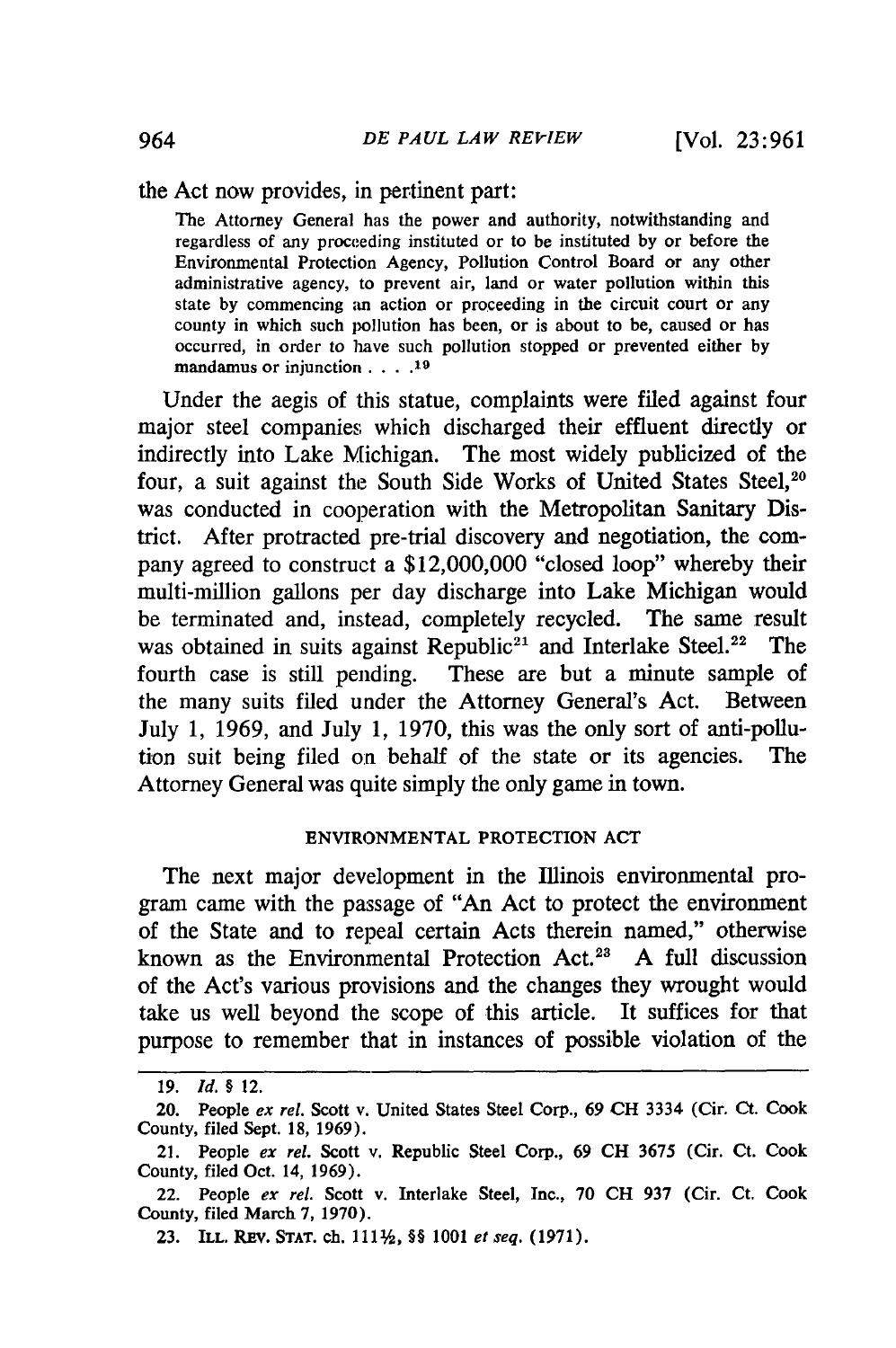the Act now provides, in pertinent part:

The Attorney General has the power and authority, notwithstanding and regardless of any proceeding instituted or to be instituted by or before the Environmental Protection Agency, Pollution Control Board or any other administrative agency, to prevent air, land or water pollution within this state by commencing an action or proceeding in the circuit court or any county in which such pollution has been, or is about to be, caused or has occurred, in order to have such pollution stopped or prevented either by mandamus or injunction. . . **.19**

Under the aegis **of** this statue, complaints were filed against four major steel companies which discharged their effluent directly or indirectly into Lake Michigan. The most widely publicized of the four, a suit against the South Side Works of United States Steel,<sup>20</sup> was conducted in cooperation with the Metropolitan Sanitary District. After protracted pre-trial discovery and negotiation, the company agreed to construct a \$12,000,000 "closed loop" whereby their multi-million gallons per day discharge into Lake Michigan would be terminated and, instead, completely recycled. The same result was obtained in suits against Republic<sup>21</sup> and Interlake Steel.<sup>22</sup> The fourth case is still pending. These are but a minute sample of the many suits filed under the Attorney General's Act. Between July 1, 1969, and July 1, 1970, this was the only sort of anti-pollution suit being filed on behalf of the state or its agencies. The Attorney General was quite simply the only game in town.

#### **ENVIRONMENTAL** PROTECTION **ACT**

The next major development in the Illinois environmental program came with the passage of "An Act to protect the environment of the State and to repeal certain Acts therein named," otherwise known as the Environmental Protection Act.<sup>28</sup> A full discussion of the Act's various provisions and the changes they wrought would take us well beyond the scope of this article. It suffices for that purpose to remember that in instances of possible violation of the

<sup>19.</sup> *id. §* 12.

<sup>20.</sup> People *ex rel.* Scott v. United States Steel Corp., 69 **CH** 3334 (Cir. Ct. Cook County, filed Sept. 18, 1969).

<sup>21.</sup> People *ex rel.* Scott v. Republic Steel Corp., 69 CH 3675 (Cir. Ct. Cook County, filed Oct. 14, 1969).

<sup>22.</sup> People *ex rel.* Scott v. Interlake Steel, Inc., 70 CH 937 (Cir. Ct. Cook County, filed March 7, 1970).

**<sup>23.</sup> ILL.** REV. **STAT. ch. 111%,** *§§* **1001** *et seq.* **(1971).**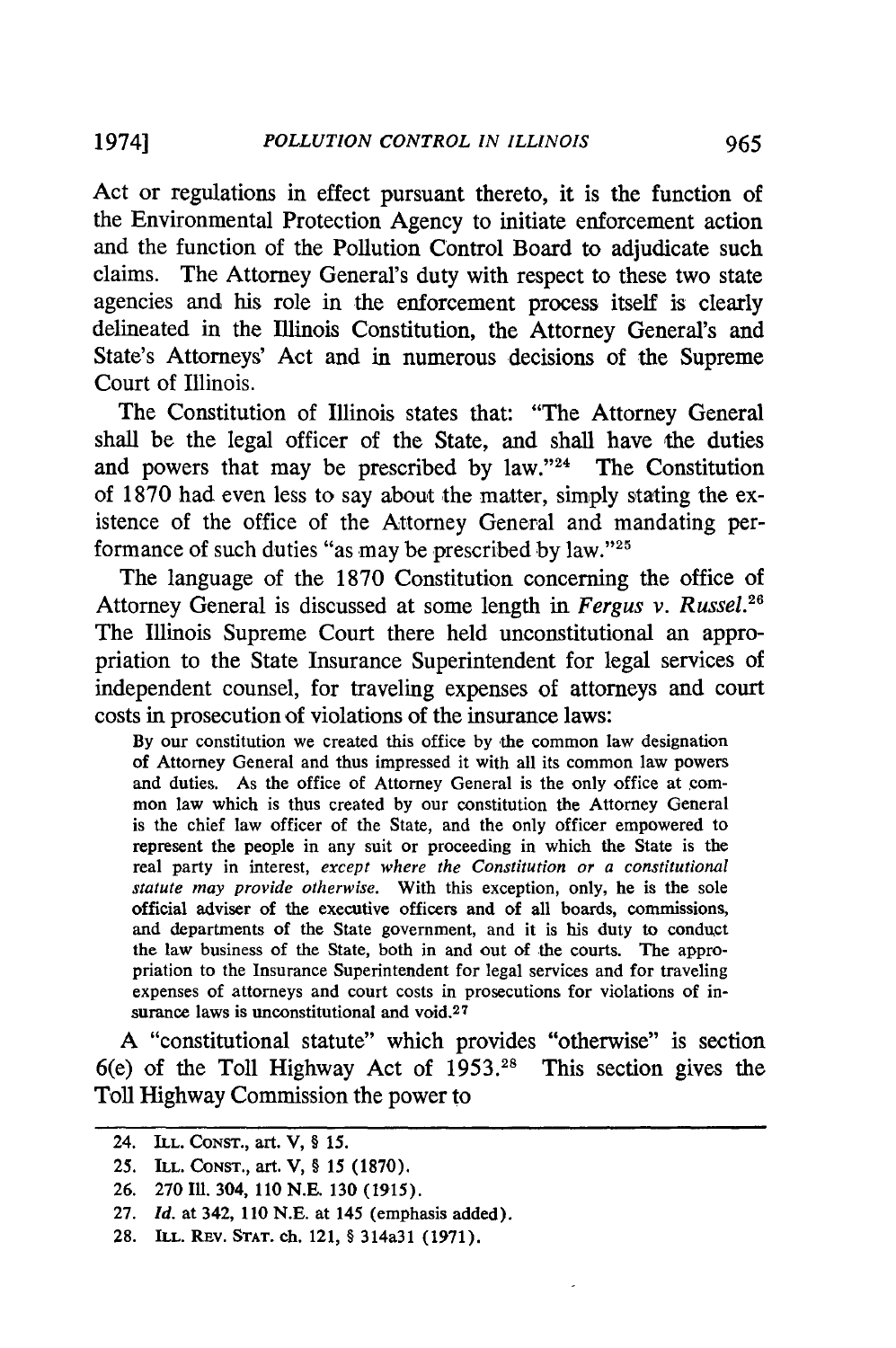Act or regulations in effect pursuant thereto, it is the function of the Environmental Protection Agency to initiate enforcement action and the function of the Pollution Control Board to adjudicate such claims. The Attorney General's duty with respect to these two state agencies and his role in the enforcement process itself is clearly delineated in the Illinois Constitution, the Attorney General's and State's Attorneys' Act and in numerous decisions of the Supreme Court of Illinois.

The Constitution of Illinois states that: "The Attorney General shall be the legal officer of the State, and shall have the duties and powers that may be prescribed **by** law."24 The Constitution of **1870** had even less to say about the matter, simply stating the existence of the office of the Attorney General and mandating performance of such duties "as may be prescribed **by** law."'25

The language of the **1870** Constitution concerning the office of Attorney General is discussed at some length in *Fergus v. Russel."* The Illinois Supreme Court there held unconstitutional an appropriation to the State Insurance Superintendent for legal services of independent counsel, for traveling expenses of attorneys and court costs in prosecution of violations of the insurance laws:

**By** our constitution we created this office **by** the common law designation of Attorney General and thus impressed it with all its common law powers and duties. As the office of Attorney General is the only office at common law which is thus created **by** our constitution the Attorney General is the chief law officer of the State, and the only officer empowered to represent the people in any suit or proceeding in which the State is the real party in interest, *except where the Constitution or a constitutional statute may provide otherwise.* With this exception, only, he is the sole official adviser of the executive officers and of all boards, commissions, and departments of the State government, and it is his duty to conduct the law business of the State, both in and out of the courts. The appropriation to the Insurance Superintendent for legal services and for traveling expenses of attorneys and court costs in prosecutions for violations of insurance laws is unconstitutional and void.<sup>27</sup>

**A** "constitutional statute" which provides "otherwise" is section 6(e) of the Toll Highway Act of **1953 .28** This section gives the Toll Highway Commission the power to

<sup>24.</sup> ILL. **CONST., art. V, §** *15.*

**<sup>25.</sup>** ILL. **CONST., art. V, § 15 (1870).**

**<sup>26. 270</sup> Ill. 304, 110 N.E. 130 (1915).**

**<sup>27.</sup>** *Id.* **at 342, 110 N.E.** at **145 (emphasis added).**

**<sup>28.</sup> ILL. REv. STAT. ch. 121,** § 314a31 **(1971).**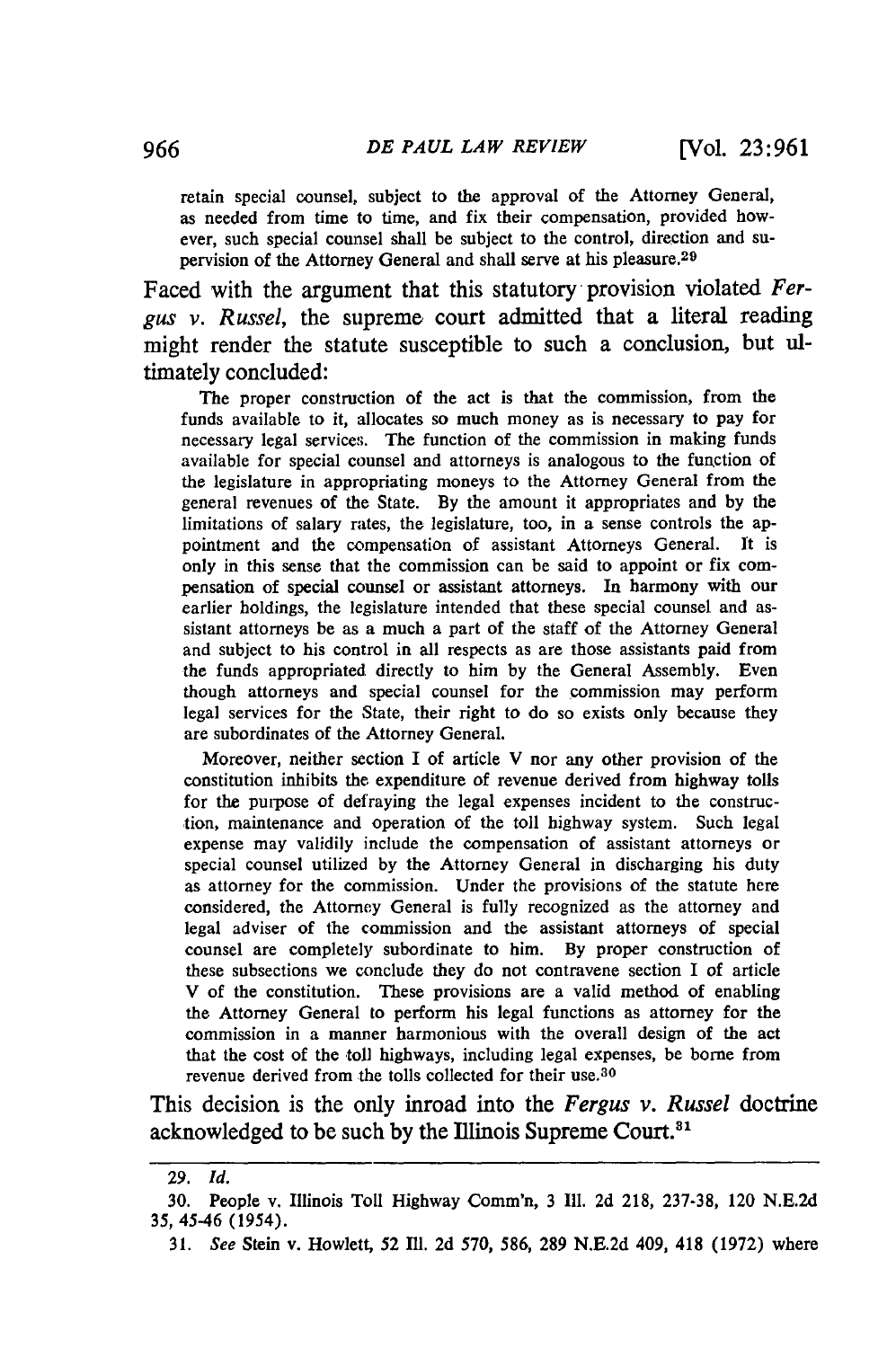retain special counsel, subject to the approval of the Attorney General, as needed from time to time, and fix their compensation, provided however, such special counsel shall be subject to the control, direction and supervision of the Attorney General and shall serve at his pleasure. <sup>29</sup>

Faced with the argument that this statutory provision violated *Fergus v. Russel,* the supreme court admitted that a literal reading might render the statute susceptible to such a conclusion, but ultimately concluded:

The proper construction of the act is that the commission, from the funds available to it, allocates so much money as is necessary to pay for necessary legal services. The function of the commission in making funds available for special counsel and attorneys is analogous to the function of the legislature in appropriating moneys to the Attorney General from the general revenues of the State. By the amount it appropriates and by the limitations of salary rates, the legislature, too, in a sense controls the appointment and the compensation of assistant Attorneys General. It is only in this sense that the commission can be said to appoint or fix compensation of special counsel or assistant attorneys. In harmony with our earlier holdings, the legislature intended that these special counsel and assistant attorneys be as a much a part of the staff of the Attorney General and subject to his control in all respects as are those assistants paid from the funds appropriated directly to him **by** the General Assembly. Even though attorneys and special counsel for the commission may perform legal services for the State, their right to do so exists only because they are subordinates of the Attorney General.

Moreover, neither section I of article V nor any other provision of the constitution inhibits the expenditure of revenue derived from highway tolls for the purpose of defraying the legal expenses incident to the construction, maintenance and operation of the toll highway system. Such legal expense may validily include the compensation of assistant attorneys or special counsel utilized **by** the Attorney General in discharging his duty as attorney for the commission. Under the provisions of the statute here considered, the Attorney General is fully recognized as the attorney and legal adviser of the commission and the assistant attorneys of special counsel are completely subordinate to him. **By** proper construction of these subsections we conclude they do not contravene section I of article V of the constitution. These provisions are a valid method of enabling the Attorney General to perform his legal functions as attorney for the commission in a manner harmonious with the overall design of the act that the cost of the toll highways, including legal expenses, be borne from revenue derived from the tolls collected for their use.<sup>30</sup>

This decision is the only inroad into the *Fergus v. Russel* doctrine acknowledged to be such **by** the Illinois Supreme Court."'

**<sup>29.</sup>** *Id.*

**<sup>30.</sup>** People v. Illinois Toll Highway Comm'n, **3 Ill. 2d 218, 237-38,** 120 **N.E.2d 35,** 45-46 (1954).

<sup>31.</sup> *See* Stein v. Howlett, **52** IIl. 2d 570, 586, 289 N.E.2d 409, 418 (1972) where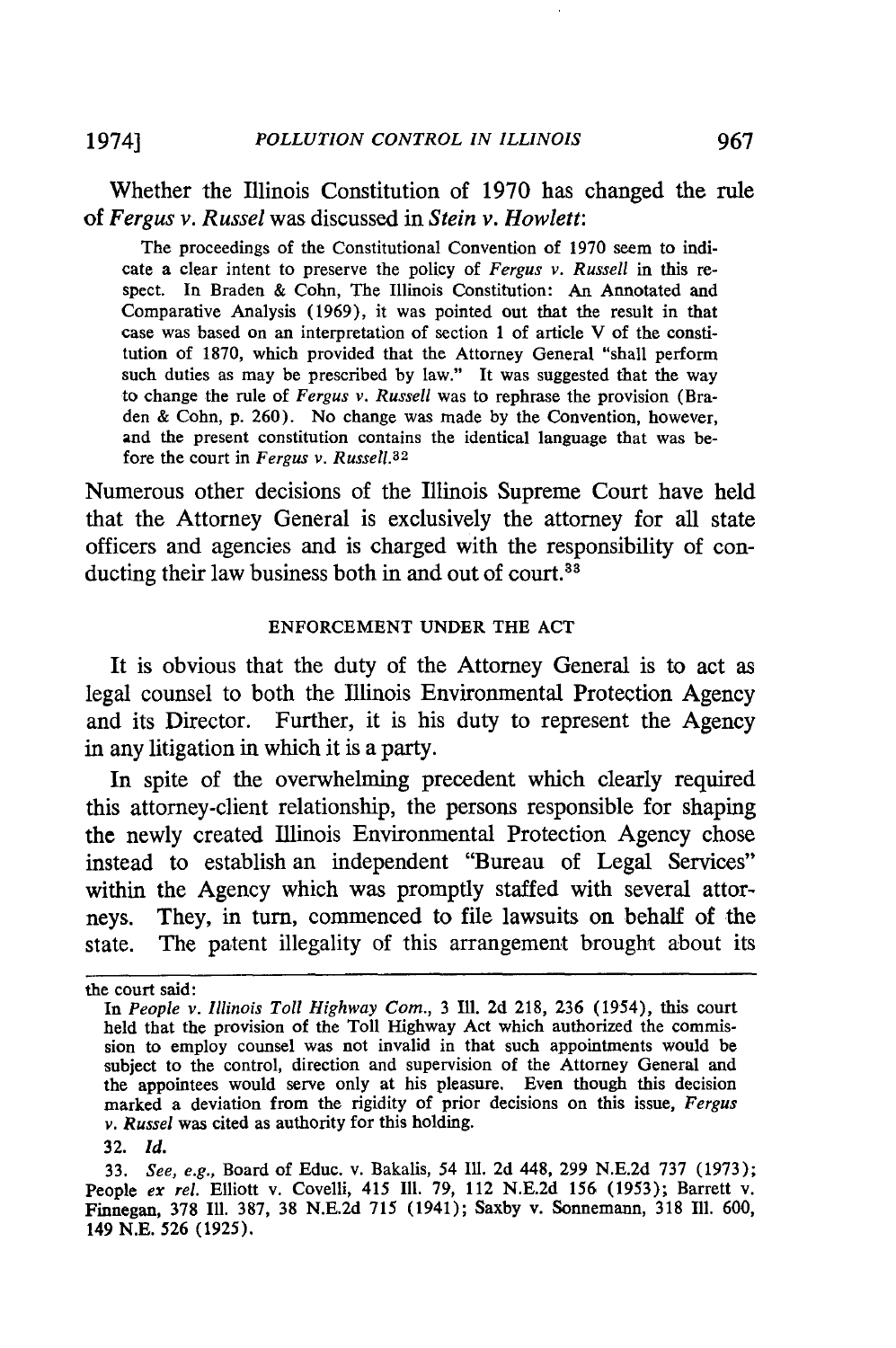## Whether the Illinois Constitution of **1970** has changed the rule of *Fergus v. Russel* was discussed in *Stein v. Howlett:*

The proceedings of the Constitutional Convention of 1970 seem to indicate a clear intent to preserve the policy of *Fergus v. Russell* in this respect. In Braden & Cohn, The Illinois Constitution: An Annotated and Comparative Analysis (1969), it was pointed out that the result in that case was based on an interpretation of section 1 of article V of the constitution of 1870, which provided that the Attorney General "shall perform such duties as may be prescribed by law." It was suggested that the way to change the rule of *Fergus v. Russell* was to rephrase the provision (Braden & Cohn, p. 260). No change was made by the Convention, however, and the present constitution contains the identical language that was before the court in *Fergus v. Russell.<sup>3</sup> <sup>2</sup>*

Numerous other decisions of the Illinois Supreme Court have held that the Attorney General is exclusively the attorney for all state officers and agencies and is charged with the responsibility of conducting their law business both in and out of court. $33$ 

#### ENFORCEMENT UNDER THE ACT

It is obvious that the duty of the Attorney General is to act as legal counsel to both the Illinois Environmental Protection Agency and its Director. Further, it is his duty to represent the Agency in any litigation in which it is a party.

In spite of the overwhelming precedent which clearly required this attorney-client relationship, the persons responsible for shaping the newly created Illinois Environmental Protection Agency chose instead to establish an independent "Bureau of Legal Services" within the Agency which was promptly staffed with several attorneys. They, in turn, commenced to file lawsuits on behalf of the state. The patent illegality of this arrangement brought about its

the court said:

In *People v. Illinois Toll Highway Corn.,* **3** Ill. **2d 218, 236** (1954), this court held that the provision of the Toll Highway Act which authorized the commission to employ counsel was not invalid in that such appointments would be subject to the control, direction and supervision of the Attorney General and the appointees would serve only at his pleasure. Even though this decision marked a deviation from the rigidity of prior decisions on this issue, *Fergus v. Russel* was cited as authority for this holding.

**<sup>32.</sup>** *Id.*

**<sup>33.</sup>** *See, e.g.,* Board of Educ. v. Bakalis, 54 Ill. **2d** 448, **299 N.E.2d 737 (1973);** People *ex rel.* Elliott v. Covelli, 415 Ill. **79,** 112 **N.E.2d 156 (1953);** Barrett v. Finnegan, **378 Ill. 387, 38 N.E.2d 715** (1941); Saxby v. Sonnemann, **318 Ill. 600,** 149 **N.E. 526 (1925).**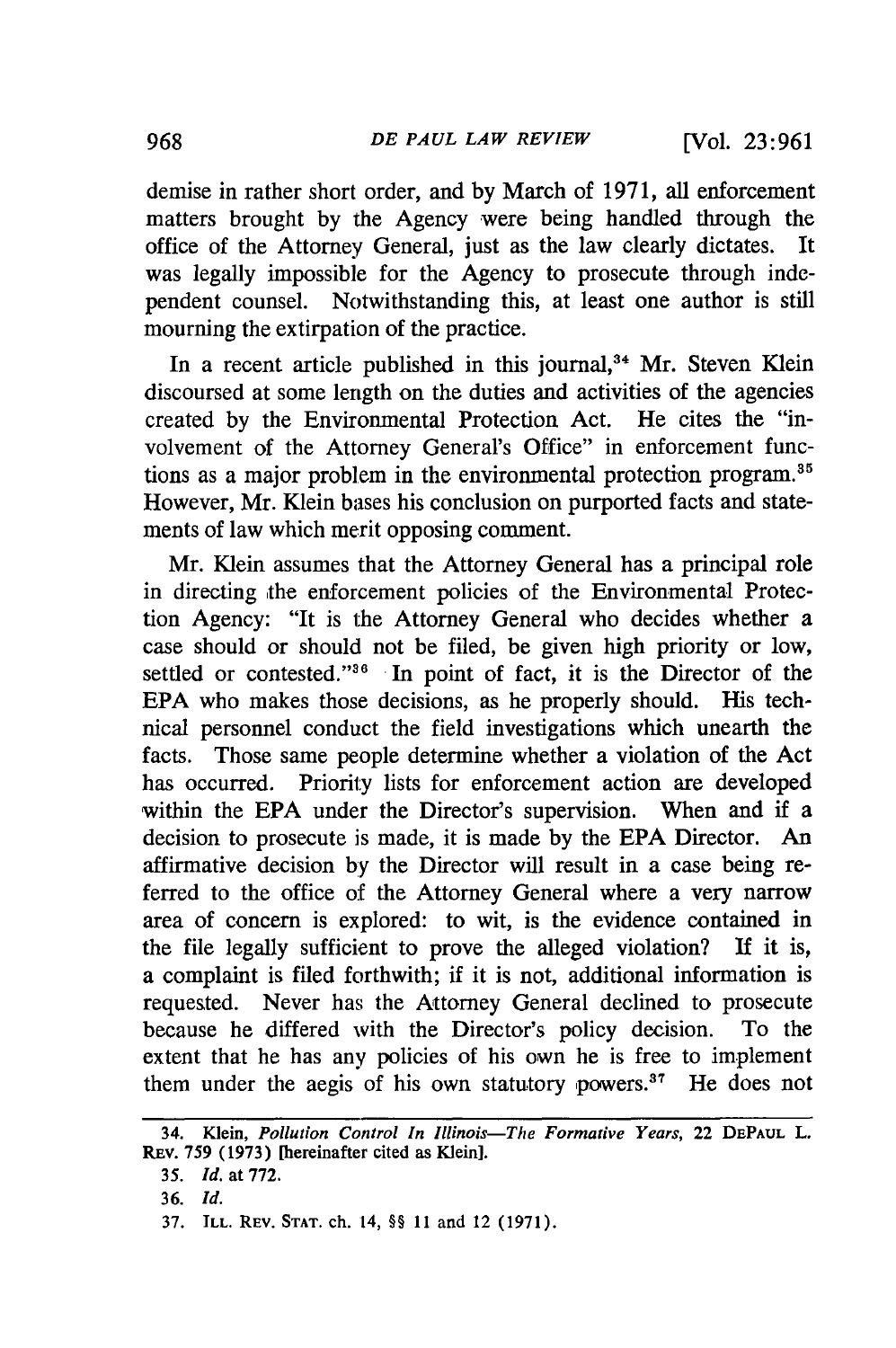demise in rather short order, and **by** March of 1971, all enforcement matters brought by the Agency were being handled through the office of the Attorney General, just as the law clearly dictates. It was legally impossible for the Agency to prosecute through independent counsel. Notwithstanding this, at least one author is still mourning the extirpation of the practice.

In a recent article published in this journal,<sup>34</sup> Mr. Steven Klein discoursed at some length on the duties and activities of the agencies created by the Environmental Protection Act. He cites the "involvement of the Attorney General's Office" in enforcement functions as a major problem in the environmental protection program.35 However, Mr. Klein bases his conclusion on purported facts and statements of law which merit opposing comment.

Mr. Klein assumes that the Attorney General has a principal role in directing the enforcement policies of the Environmental Protection Agency: "It is the Attorney General who decides whether a case should or should not be filed, be given high priority or low, settled or contested."<sup>36</sup> In point of fact, it is the Director of the EPA who makes those decisions, as he properly should. His technical personnel conduct the field investigations which unearth the facts. Those same people determine whether a violation of the Act has occurred. Priority lists for enforcement action are developed within the EPA under the Director's supervision. When and if a decision to prosecute is made, it is made by the EPA Director. An affirmative decision by the Director will result in a case being referred to the office of the Attorney General where a very narrow area of concern is explored: to wit, is the evidence contained in the file legally sufficient to prove the alleged violation? **If** it is, a complaint is filed forthwith; if it is not, additional information is requested. Never has the Attorney General declined to prosecute because he differed with the Director's policy decision. To the extent that he has any policies of his own he is free to implement them under the aegis of his own statutory powers.<sup>37</sup> He does not

<sup>34.</sup> Klein, *Pollution Control In Illinois-The Formative Years,* 22 **DEPAUL** L. **REV. 759 (1973)** [hereinafter cited as Klein].

*<sup>35.</sup> Id.* at **772.**

**<sup>36.</sup>** *Id.*

<sup>37.</sup> **ILL.** REV. **STAT.** ch. 14, §§ 11 and 12 (1971).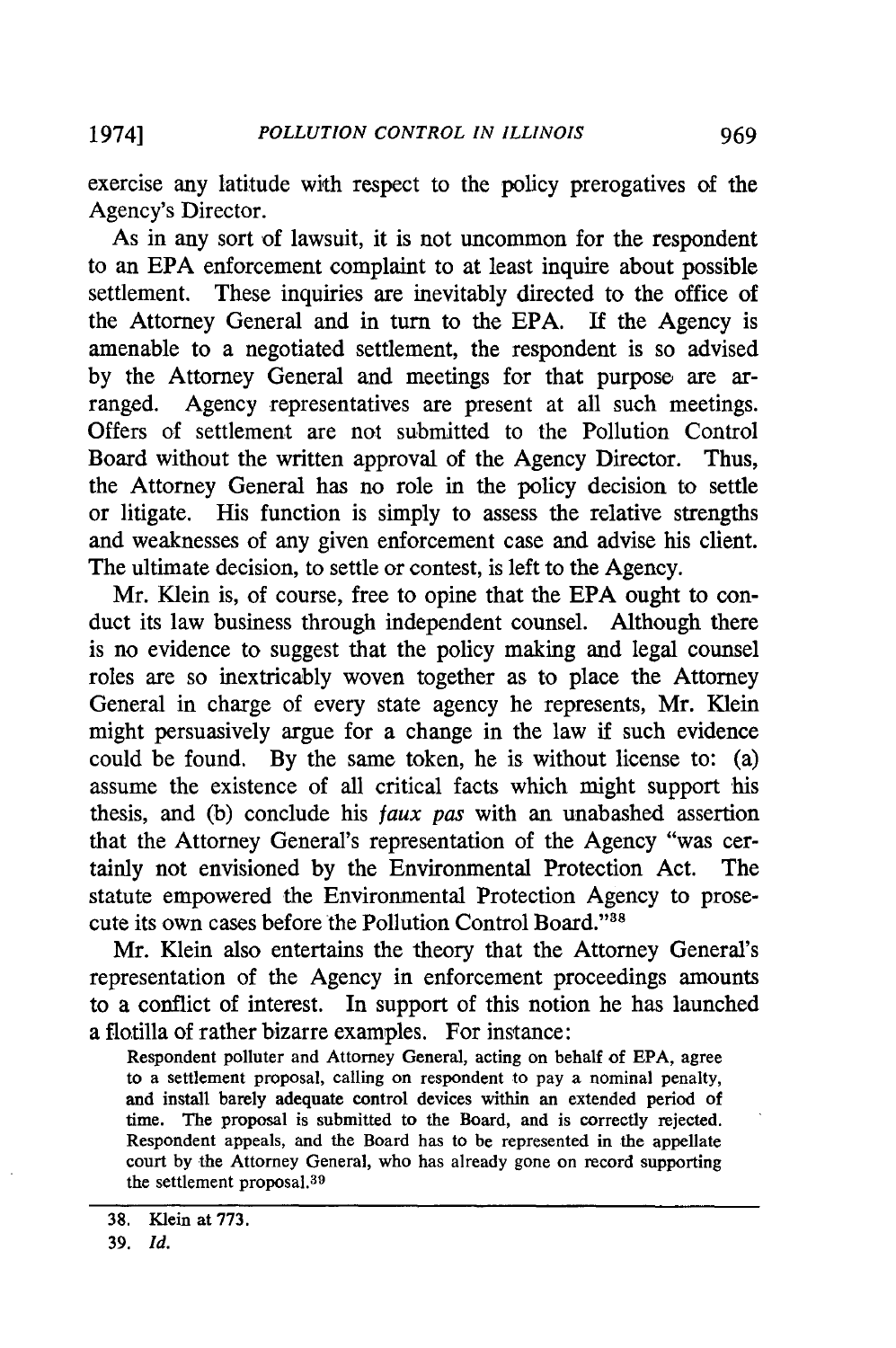exercise any latitude with respect to the policy prerogatives of the Agency's Director.

As in any sort of lawsuit, it is not uncommon for the respondent to an EPA enforcement complaint to at least inquire about possible settlement. These inquiries are inevitably directed to the office of the Attorney General and in turn to the EPA. If the Agency is amenable to a negotiated settlement, the respondent is so advised by the Attorney General and meetings for that purpose are arranged. Agency representatives are present at all such meetings. Offers of settlement are not submitted to the Pollution Control Board without the written approval of the Agency Director. Thus, the Attorney General has no role in the policy decision to settle or litigate. His function is simply to assess the relative strengths and weaknesses of any given enforcement case and advise his client. The ultimate decision, to settle or contest, is left to the Agency.

Mr. Klein is, of course, free to opine that the EPA ought to conduct its law business through independent counsel. Although there is no evidence to suggest that the policy making and legal counsel roles are so inextricably woven together as to place the Attorney General in charge of every state agency he represents, Mr. Klein might persuasively argue for a change in the law if such evidence could be found. By the same token, he is without license to: (a) assume the existence of all critical facts which might support his thesis, and (b) conclude his *faux pas* with an unabashed assertion that the Attorney General's representation of the Agency "was certainly not envisioned by the Environmental Protection Act. The statute empowered the Environmental Protection Agency to prosecute its own cases before the Pollution Control Board."<sup>38</sup>

Mr. Klein also entertains the theory that the Attorney General's representation of the Agency in enforcement proceedings amounts to a conflict of interest. In support of this notion he has launched a flotilla of rather bizarre examples. For instance:

Respondent polluter and Attorney General, acting on behalf of EPA, agree to a settlement proposal, calling on respondent to pay a nominal penalty, and install barely adequate control devices within an extended period of time. The proposal is submitted to the Board, and is correctly rejected. Respondent appeals, and the Board has to be represented in the appellate court by the Attorney General, who has already gone on record supporting the settlement proposal.<sup>39</sup>

**<sup>38.</sup>** Klein at **773.**

<sup>39.</sup> *Id.*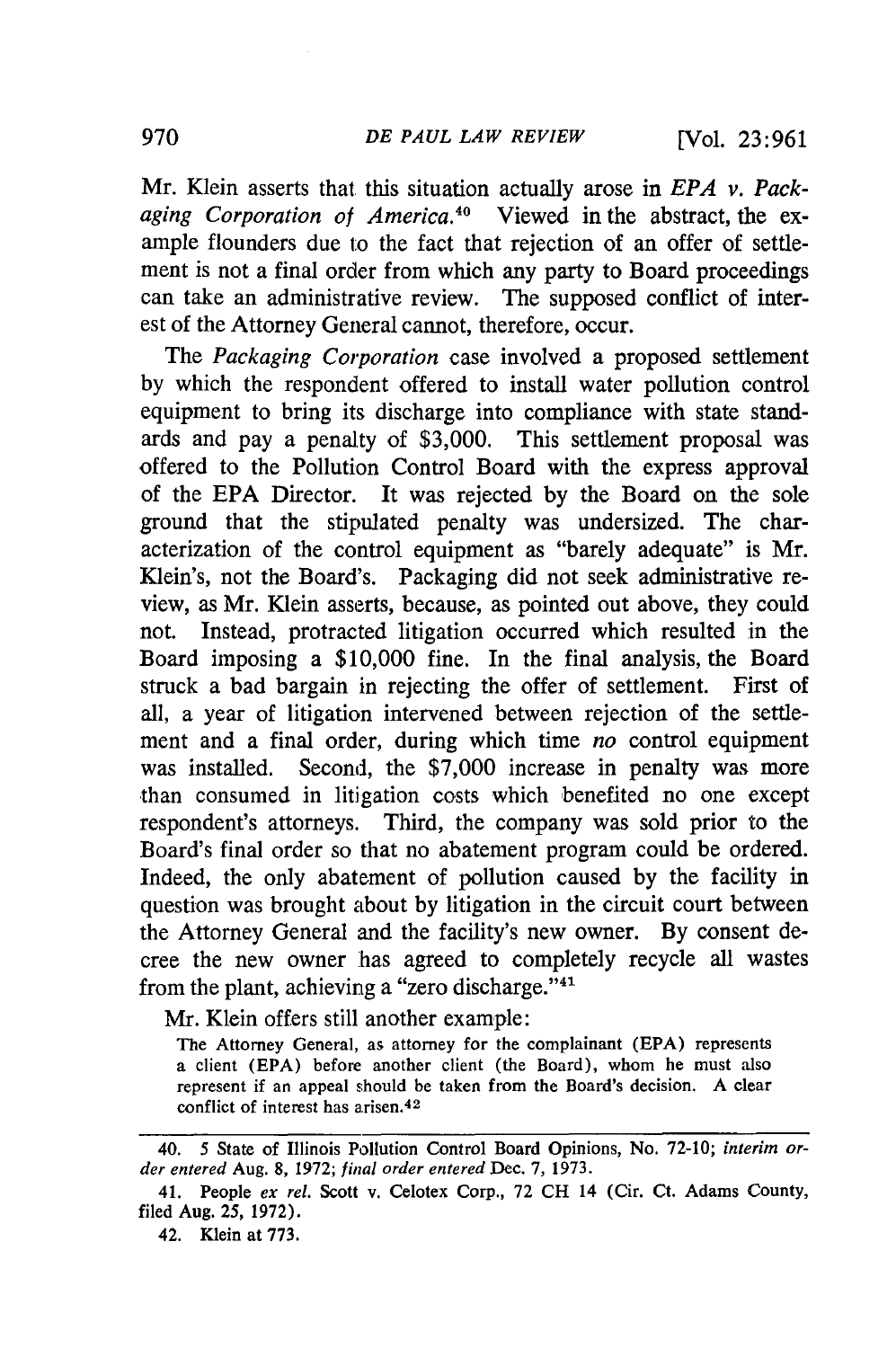Mr. Klein asserts that this situation actually arose in *EPA v. Packaging Corporation of America.40* Viewed in the abstract, the example flounders due to the fact that rejection of an offer of settlement is not a final order from which any party to Board proceedings can take an administrative review. The supposed conflict of interest of the Attorney General cannot, therefore, occur.

The *Packaging Corporation* case involved a proposed settlement by which the respondent offered to install water pollution control equipment to bring its discharge into compliance with state standards and pay a penalty of \$3,000. This settlement proposal was offered to the Pollution Control Board with the express approval of the EPA Director. It was rejected by the Board on the sole ground that the stipulated penalty was undersized. The characterization of the control equipment as "barely adequate" is Mr. Klein's, not the Board's. Packaging did not seek administrative review, as Mr. Klein asserts, because, as pointed out above, they could not. Instead, protracted litigation occurred which resulted in the Board imposing a \$10,000 fine. In the final analysis, the Board struck a bad bargain in rejecting the offer of settlement. First of all, a year of litigation intervened between rejection of the settlement and a final order, during which time *no* control equipment was installed. Second, the \$7,000 increase in penalty was more than consumed in litigation costs which benefited no one except respondent's attorneys. Third, the company was sold prior to the Board's final order so that no abatement program could be ordered. Indeed, the only abatement of pollution caused by the facility in question was brought about by litigation in the circuit court between the Attorney General and the facility's new owner. By consent decree the new owner has agreed to completely recycle all wastes from the plant, achieving a "zero discharge."<sup>41</sup>

Mr. Klein offers still another example:

The Attorney General, as attorney for the complainant (EPA) represents a client (EPA) before another client (the Board), whom he must also represent if an appeal should be taken from the Board's decision. A clear conflict of interest has arisen.<sup>42</sup>

<sup>40. 5</sup> State of Illinois Pollution Control Board Opinions, No. **72-10;** *interim or- der entered* Aug. **8, 1972;** *final order entered* Dec. **7, 1973.**

<sup>41.</sup> People *ex rel.* Scott v. Celotex Corp., **72 CH** 14 (Cir. Ct. Adams County, filed Aug. **25, 1972).**

<sup>42.</sup> Klein at **773.**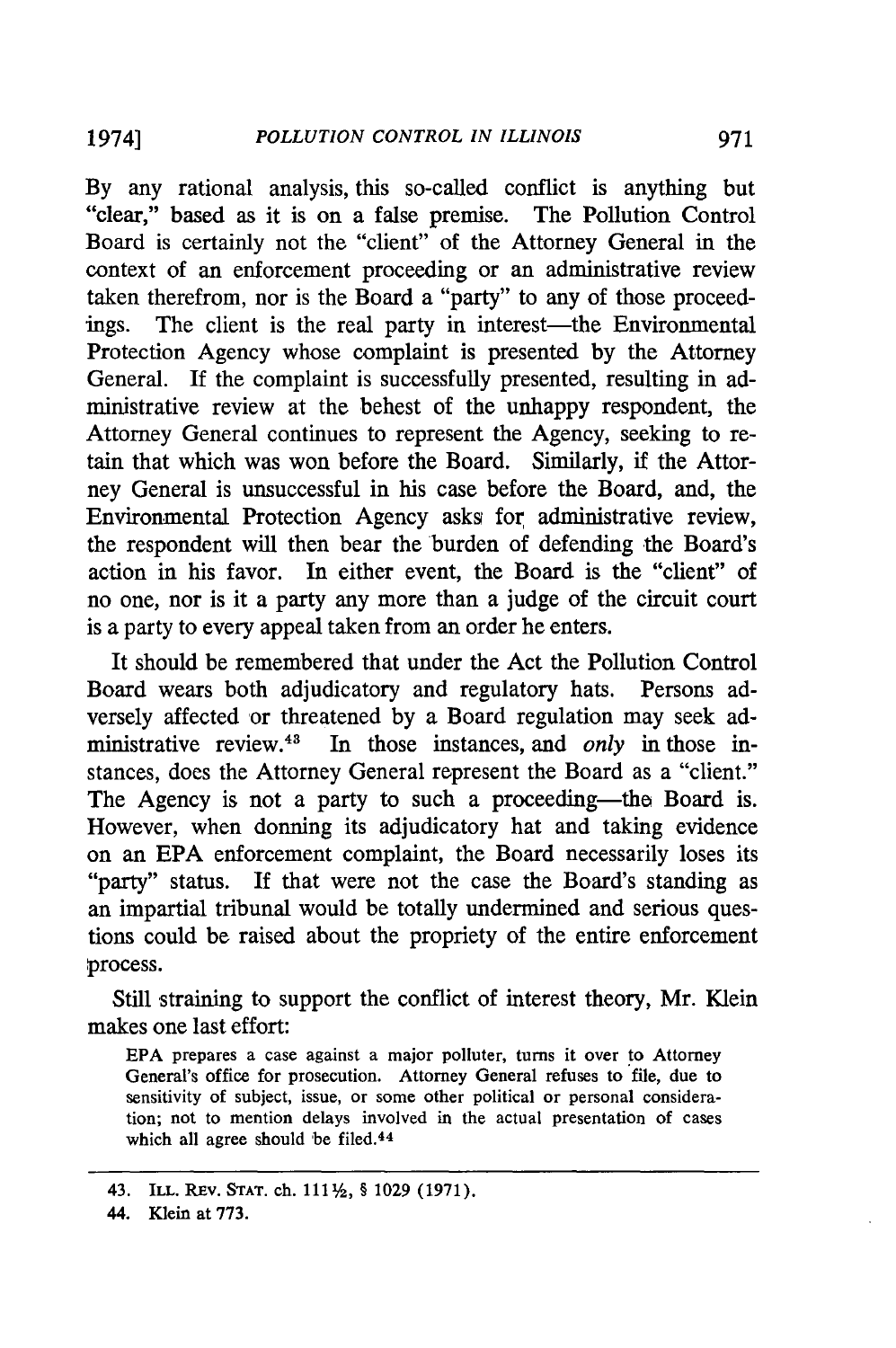By any rational analysis, this so-called conflict is anything but "clear," based as it is on a false premise. The Pollution Control Board is certainly not the "client" of the Attorney General in the context of an enforcement proceeding or an administrative review taken therefrom, nor is the Board a "party" to any of those proceedings. The client is the real party in interest—the Environmental Protection Agency whose complaint is presented by the Attorney General. If the complaint is successfully presented, resulting in administrative review at the behest of the unhappy respondent, the Attorney General continues to represent the Agency, seeking to retain that which was won before the Board. Similarly, if the Attorney General is unsuccessful in his case before the Board, and, the Environmental Protection Agency asks for administrative review, the respondent will then bear the burden of defending the Board's action in his favor. In either event, the Board is the "client" of no one, nor is it a party any more than a judge of the circuit court is a party to every appeal taken from an order he enters.

It should be remembered that under the Act the Pollution Control Board wears both adjudicatory and regulatory hats. Persons adversely affected or threatened by a Board regulation may seek administrative review.<sup>43</sup> In those instances, and *only* in those instances, does the Attorney General represent the Board as a "client." The Agency is not a party to such a proceeding—the Board is. However, when donning its adjudicatory hat and taking evidence on an EPA enforcement complaint, the Board necessarily loses its "party" status. If that were not the case the Board's standing as an impartial tribunal would be totally undermined and serious questions could be raised about the propriety of the entire enforcement process.

Still straining to support the conflict of interest theory, Mr. Klein makes one last effort:

**EPA** prepares a case against a major polluter, turns it over to Attorney General's office for prosecution. Attorney General refuses to file, due to sensitivity of subject, issue, or some other political or personal consideration; not to mention delays involved in the actual presentation of cases which all agree should be filed.<sup>44</sup>

<sup>43.</sup> **ILL. REv. STAT.** ch. **1112,** § 1029 (1971).

<sup>44.</sup> Klein at **773.**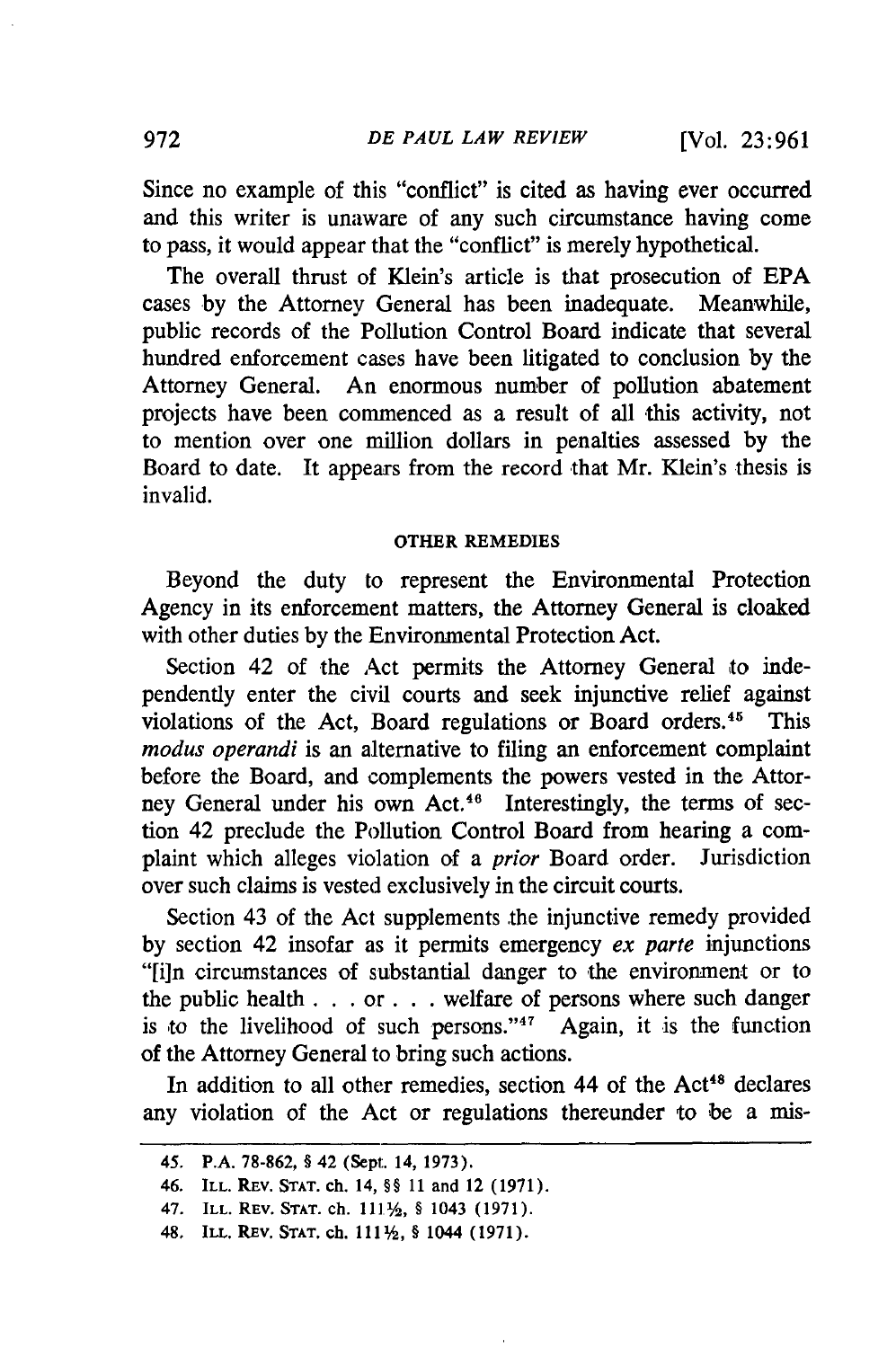Since no example of this "conflict" is cited as having ever occurred and this writer is unaware of any such circumstance having come to pass, it would appear that the "conflict" is merely hypothetical.

The overall thrust of Klein's article is that prosecution of EPA cases by the Attorney General has been inadequate. Meanwhile, public records of the Pollution Control Board indicate that several hundred enforcement cases have been litigated to conclusion by the Attorney General. An enormous number of pollution abatement projects have been commenced as a result of all this activity, not to mention over one million dollars in penalties assessed by the Board to date. It appears from the record that Mr. Klein's thesis is invalid.

#### **OTHER REMEDIES**

Beyond the duty to represent the Environmental Protection Agency in its enforcement matters, the Attorney General is cloaked with other duties by the Environmental Protection Act.

Section 42 of the Act permits the Attorney General to independently enter the civil courts and seek injunctive relief against violations of the Act, Board regulations or Board orders.<sup>45</sup> This *modus operandi* is an alternative to filing an enforcement complaint before the Board, and complements the powers vested in the Attorney General under his own Act.<sup>46</sup> Interestingly, the terms of section 42 preclude the Pollution Control Board from hearing a complaint which alleges violation of a *prior* Board order. Jurisdiction over such claims is vested exclusively in the circuit courts.

Section 43 of the Act supplements the injunctive remedy provided by section 42 insofar as it permits emergency *ex parte* injunctions "[i]n circumstances of substantial danger to the environment or to the public health. **. . or. .** .welfare of persons where such danger is to the livelihood of such persons."47 Again, it is the function of the Attorney General to bring such actions.

In addition to all other remedies, section 44 of the Act<sup>48</sup> declares any violation of the Act or regulations thereunder to be a mis-

<sup>45.</sup> P.A. **78-862, §** 42 (Sept. 14, **1973).**

<sup>46.</sup> ILL. REV. **STAT. ch.** 14, **§§ 11** and 12 **(1971).**

<sup>47.</sup> ILL. REV. **STAT. ch. 1111/, §** 1043 **(1971).**

<sup>48.</sup> ILL. REV. STAT. ch.  $111\frac{1}{2}$ , § 1044 (1971).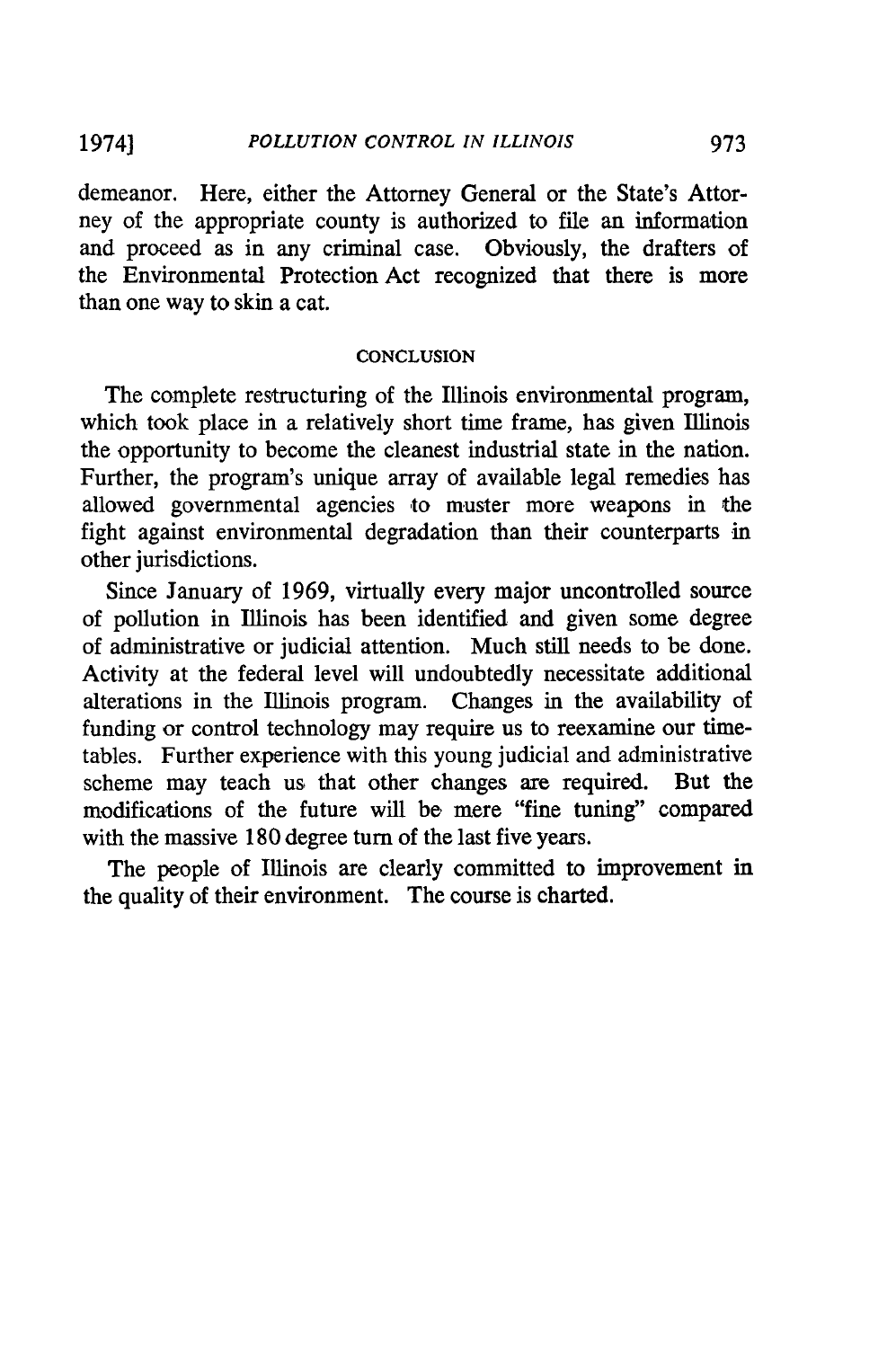#### *POLLUTION CONTROL IN ILLINOIS* 19741

demeanor. Here, either the Attorney General or the State's Attorney of the appropriate county is authorized to file an information and proceed as in any criminal case. Obviously, the drafters of the Environmental Protection Act recognized that there is more than one way to skin a cat.

#### **CONCLUSION**

The complete restructuring of the Illinois environmental program, which took place in a relatively short time frame, has given Illinois the opportunity to become the cleanest industrial state in the nation. Further, the program's unique array of available legal remedies has allowed governmental agencies to muster more weapons in the fight against environmental degradation than their counterparts in other jurisdictions.

Since January of 1969, virtually every major uncontrolled source of pollution in Illinois has been identified and given some degree of administrative or judicial attention. Much still needs to be done. Activity at the federal level will undoubtedly necessitate additional alterations in the Illinois program. Changes in the availability of funding or control technology may require us to reexamine our timetables. Further experience with this young judicial and administrative scheme may teach us that other changes are required. But the modifications of the future will be mere "fine tuning" compared with the massive 180 degree turn of the last five years.

The people of Illinois are clearly committed to improvement in the quality of their environment. The course is charted.